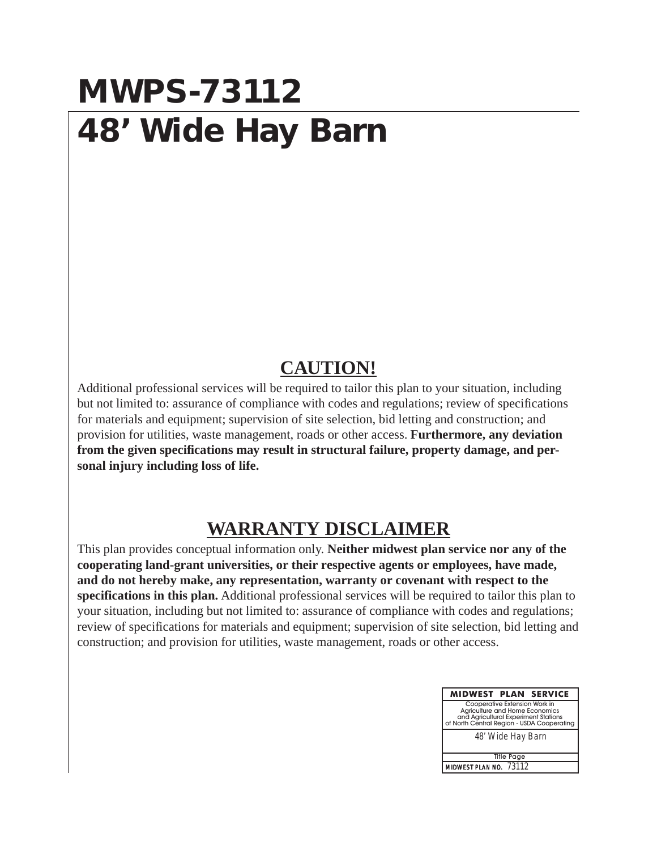### **MWPS-73112 48' Wide Hay Barn**

#### **CAUTION!**

Additional professional services will be required to tailor this plan to your situation, including but not limited to: assurance of compliance with codes and regulations; review of specifications for materials and equipment; supervision of site selection, bid letting and construction; and provision for utilities, waste management, roads or other access. **Furthermore, any deviation from the given specifications may result in structural failure, property damage, and personal injury including loss of life.**

### **WARRANTY DISCLAIMER**

This plan provides conceptual information only. **Neither midwest plan service nor any of the cooperating land-grant universities, or their respective agents or employees, have made, and do not hereby make, any representation, warranty or covenant with respect to the specifications in this plan.** Additional professional services will be required to tailor this plan to your situation, including but not limited to: assurance of compliance with codes and regulations; review of specifications for materials and equipment; supervision of site selection, bid letting and construction; and provision for utilities, waste management, roads or other access.

| <b>MIDWEST PLAN SERVICE</b>                                                                                                                           |  |  |  |  |
|-------------------------------------------------------------------------------------------------------------------------------------------------------|--|--|--|--|
| Cooperative Extension Work in<br>Agriculture and Home Economics<br>and Agricultural Experiment Stations<br>of North Central Region - USDA Cooperating |  |  |  |  |
| 48' Wide Hay Barn                                                                                                                                     |  |  |  |  |
|                                                                                                                                                       |  |  |  |  |
| <b>Title Page</b>                                                                                                                                     |  |  |  |  |
| MIDWEST PLAN NO. 73112                                                                                                                                |  |  |  |  |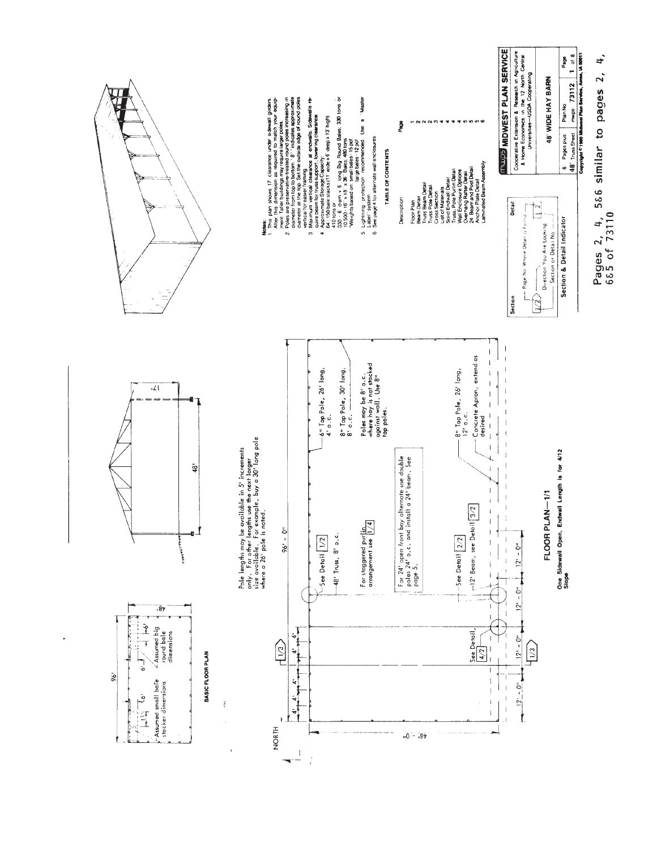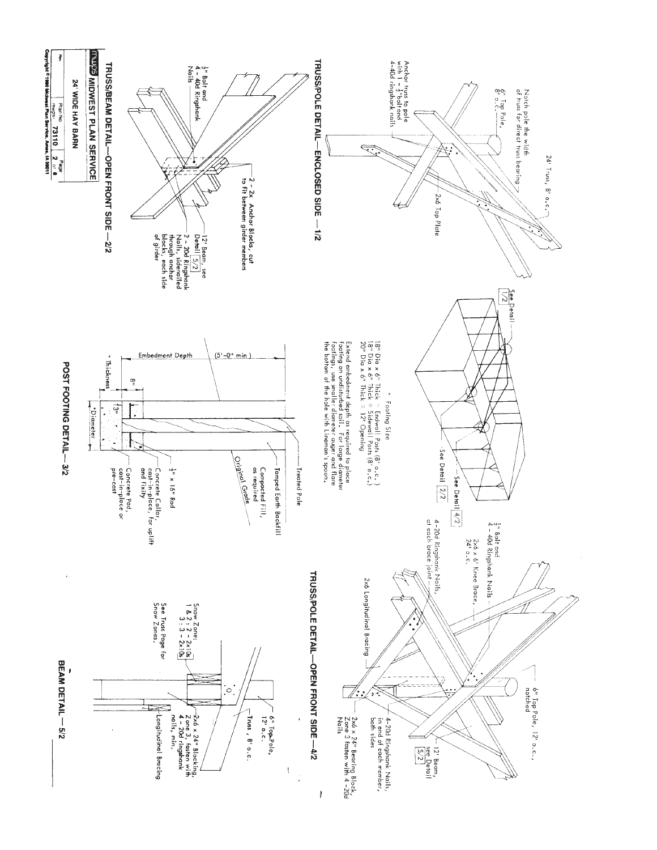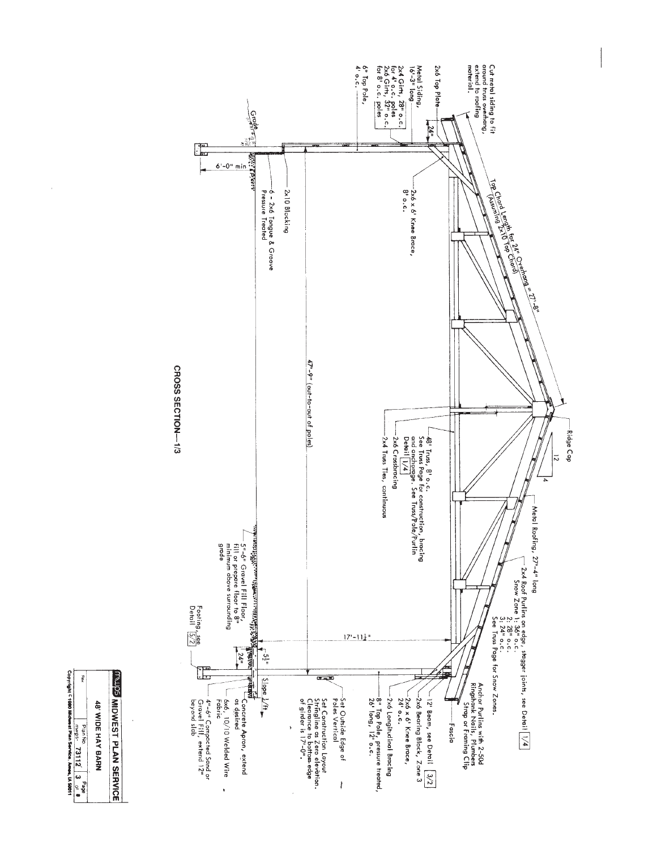

 $\bar{1}$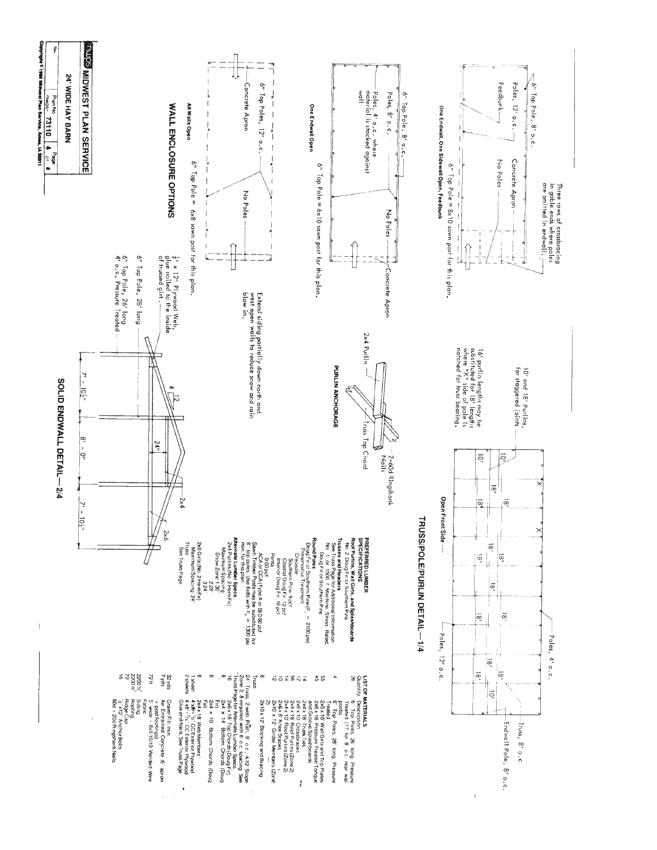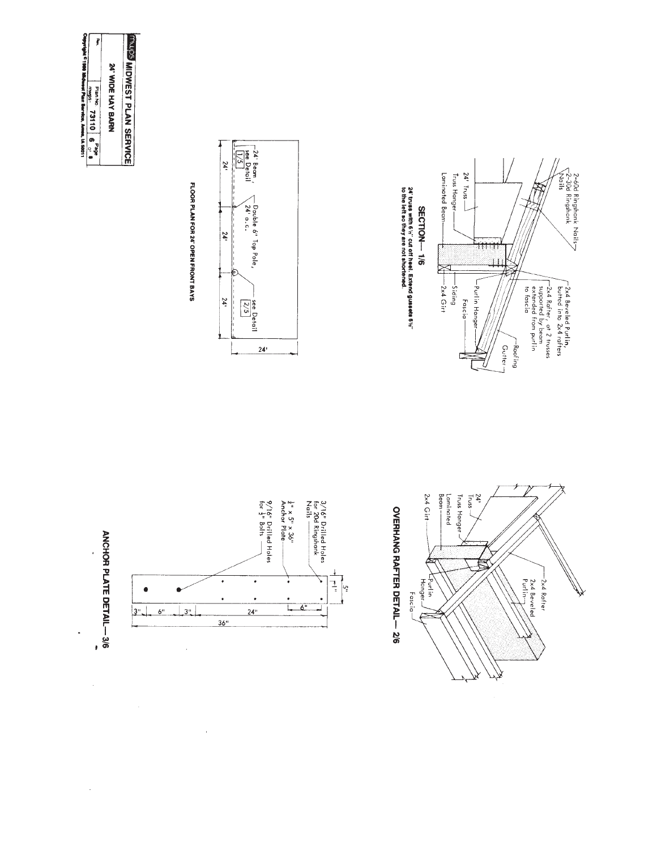| Pyright C1980 Midnest Plan Bervice, Ames, IA 50011 | ţ<br><b>Dian No.</b><br>73110   6 | 24' WIDE HAY BARN | <b>INSIDINEST PLAN SERVICE</b> |
|----------------------------------------------------|-----------------------------------|-------------------|--------------------------------|
|                                                    | <b>Page</b>                       |                   |                                |

J

l,

 $\bar{z}$ 

FLOOR PLAN FOR 24' OPEN FRONT BAYS









![](_page_5_Figure_6.jpeg)

 $\bar{\mathbf{r}}$ 

OVERHANG RAFTER DETAIL-2/6